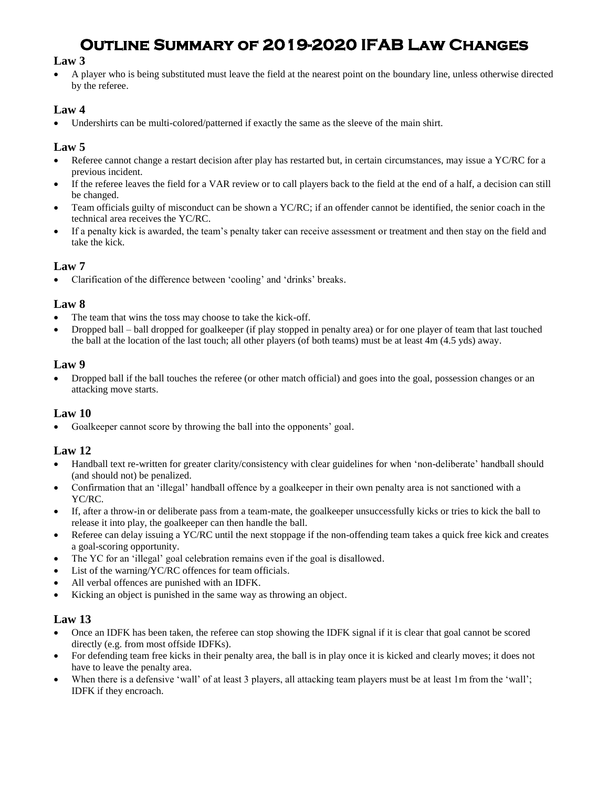# **Outline Summary of 2019-2020 IFAB Law Changes**

### **Law 3**

• A player who is being substituted must leave the field at the nearest point on the boundary line, unless otherwise directed by the referee.

## **Law 4**

Undershirts can be multi-colored/patterned if exactly the same as the sleeve of the main shirt.

# **Law 5**

- Referee cannot change a restart decision after play has restarted but, in certain circumstances, may issue a YC/RC for a previous incident.
- If the referee leaves the field for a VAR review or to call players back to the field at the end of a half, a decision can still be changed.
- Team officials guilty of misconduct can be shown a YC/RC; if an offender cannot be identified, the senior coach in the technical area receives the YC/RC.
- If a penalty kick is awarded, the team's penalty taker can receive assessment or treatment and then stay on the field and take the kick.

## **Law 7**

• Clarification of the difference between 'cooling' and 'drinks' breaks.

## **Law 8**

- The team that wins the toss may choose to take the kick-off.
- Dropped ball ball dropped for goalkeeper (if play stopped in penalty area) or for one player of team that last touched the ball at the location of the last touch; all other players (of both teams) must be at least 4m (4.5 yds) away.

#### **Law 9**

• Dropped ball if the ball touches the referee (or other match official) and goes into the goal, possession changes or an attacking move starts.

### **Law 10**

Goalkeeper cannot score by throwing the ball into the opponents' goal.

## **Law 12**

- Handball text re-written for greater clarity/consistency with clear guidelines for when 'non-deliberate' handball should (and should not) be penalized.
- Confirmation that an 'illegal' handball offence by a goalkeeper in their own penalty area is not sanctioned with a YC/RC.
- If, after a throw-in or deliberate pass from a team-mate, the goalkeeper unsuccessfully kicks or tries to kick the ball to release it into play, the goalkeeper can then handle the ball.
- Referee can delay issuing a YC/RC until the next stoppage if the non-offending team takes a quick free kick and creates a goal-scoring opportunity.
- The YC for an 'illegal' goal celebration remains even if the goal is disallowed.
- List of the warning/YC/RC offences for team officials.
- All verbal offences are punished with an IDFK.
- Kicking an object is punished in the same way as throwing an object.

## **Law 13**

- Once an IDFK has been taken, the referee can stop showing the IDFK signal if it is clear that goal cannot be scored directly (e.g. from most offside IDFKs).
- For defending team free kicks in their penalty area, the ball is in play once it is kicked and clearly moves; it does not have to leave the penalty area.
- When there is a defensive 'wall' of at least 3 players, all attacking team players must be at least 1m from the 'wall'; IDFK if they encroach.